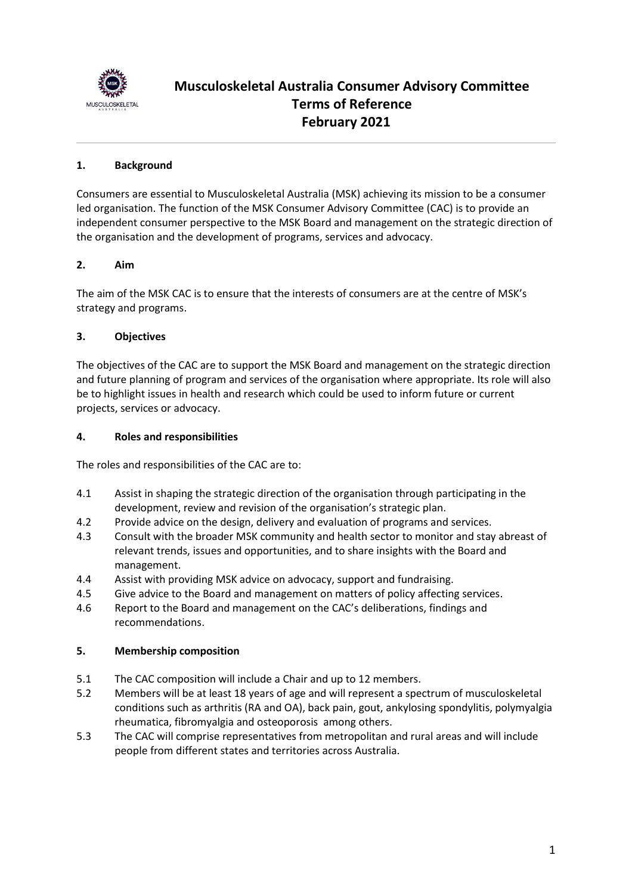

# **Musculoskeletal Australia Consumer Advisory Committee Terms of Reference February 2021**

# **1. Background**

Consumers are essential to Musculoskeletal Australia (MSK) achieving its mission to be a consumer led organisation. The function of the MSK Consumer Advisory Committee (CAC) is to provide an independent consumer perspective to the MSK Board and management on the strategic direction of the organisation and the development of programs, services and advocacy.

# **2. Aim**

The aim of the MSK CAC is to ensure that the interests of consumers are at the centre of MSK's strategy and programs.

# **3. Objectives**

The objectives of the CAC are to support the MSK Board and management on the strategic direction and future planning of program and services of the organisation where appropriate. Its role will also be to highlight issues in health and research which could be used to inform future or current projects, services or advocacy.

#### **4. Roles and responsibilities**

The roles and responsibilities of the CAC are to:

- 4.1 Assist in shaping the strategic direction of the organisation through participating in the development, review and revision of the organisation's strategic plan.
- 4.2 Provide advice on the design, delivery and evaluation of programs and services.
- 4.3 Consult with the broader MSK community and health sector to monitor and stay abreast of relevant trends, issues and opportunities, and to share insights with the Board and management.
- 4.4 Assist with providing MSK advice on advocacy, support and fundraising.
- 4.5 Give advice to the Board and management on matters of policy affecting services.
- 4.6 Report to the Board and management on the CAC's deliberations, findings and recommendations.

# **5. Membership composition**

- 5.1 The CAC composition will include a Chair and up to 12 members.
- 5.2 Members will be at least 18 years of age and will represent a spectrum of musculoskeletal conditions such as arthritis (RA and OA), back pain, gout, ankylosing spondylitis, polymyalgia rheumatica, fibromyalgia and osteoporosis among others.
- 5.3 The CAC will comprise representatives from metropolitan and rural areas and will include people from different states and territories across Australia.